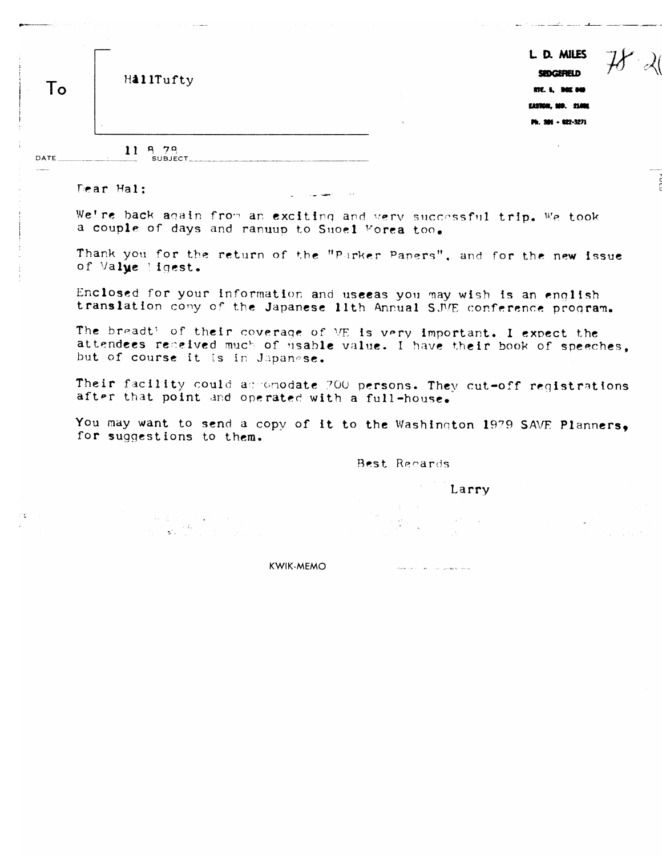|    |           |        | L D. MILES         |
|----|-----------|--------|--------------------|
| To | HallTufty |        | SEDGEFIELD         |
|    |           |        | RTE. 5, DOX 040    |
|    |           |        | EASTON, MD. 21801  |
|    |           | $\sim$ | Ph. 301 - 822-3271 |
|    |           |        |                    |

11 8 78

Dear Hal:

DATE

 $\mathbf{r}$ 

We're back again from an exciting and very successful trip. We took a couple of days and ranuup to Suoel Forea too.

Thank you for the return of the "Parker Papers", and for the new issue of Value Hoest.

Enclosed for your information and useeas you may wish is an enolish translation comy of the Japanese 11th Annual SJVE conference program.

The breadt? of their coverage of ME is very important. I expect the attendees received much of usable value. I have their book of speeches, but of course it is in Japanese.

Their facility could accomodate 700 persons. They cut-off registrations after that point and operated with a full-house.

You may want to send a copy of it to the Washington 1979 SAVE Planners, for suggestions to them.

Best Recards

Larry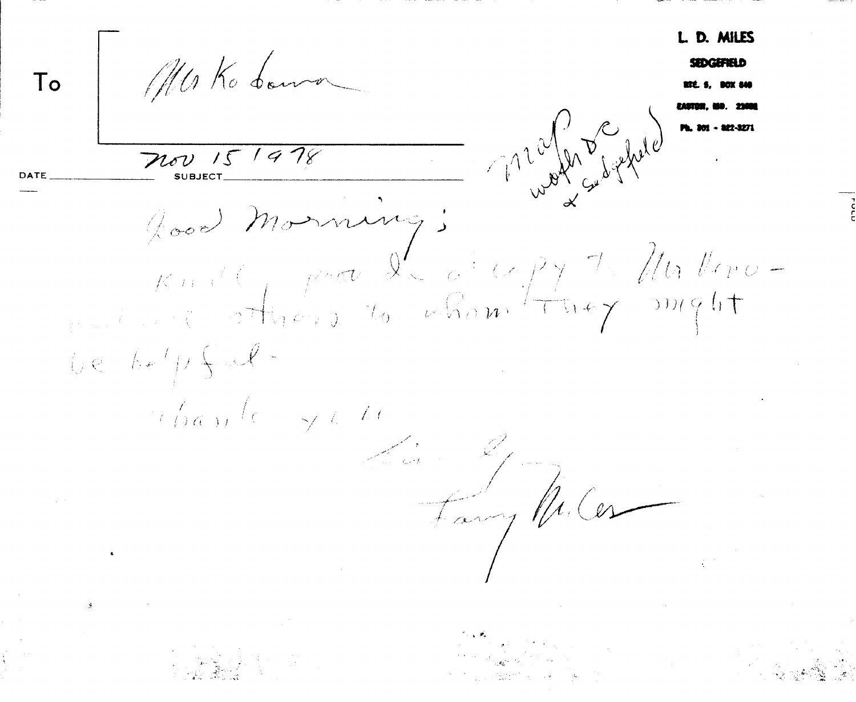D. MILES Mako boma  $To$ And Marian Companion  $7160$  15 1978 Good Monning;  $K$  and  $\int_{R^{n-1}} \rho^n e^{-\int_{R^{n-1}} \rho^n e^{-\int_{R^{n-1}} \rho^n e^{-\int_{R^{n-1}} \rho^n e^{-\int_{R^{n-1}} \rho^n e^{-\int_{R^{n-1}} \rho^n e^{-\int_{R^{n-1}} \rho^n e^{-\int_{R^{n-1}} \rho^n e^{-\int_{R^{n-1}} \rho^n e^{-\int_{R^{n-1}} \rho^n e^{-\int_{R^{n-1}} \rho^n e^{-\int_{R^{n-1}} \rho^n e^{-\int_{R^{n-1}} \rho^n e^{-\int_{R^{n-1}} \rho^n e^{-\int_{R^{n-1}} \rho^n e^{-\int$  $i.e.$  belp  $\bigcup$ .  $\gamma_{D\alpha\beta\gamma}^{\prime}$  (  $\rightarrow$  10 Fany Miles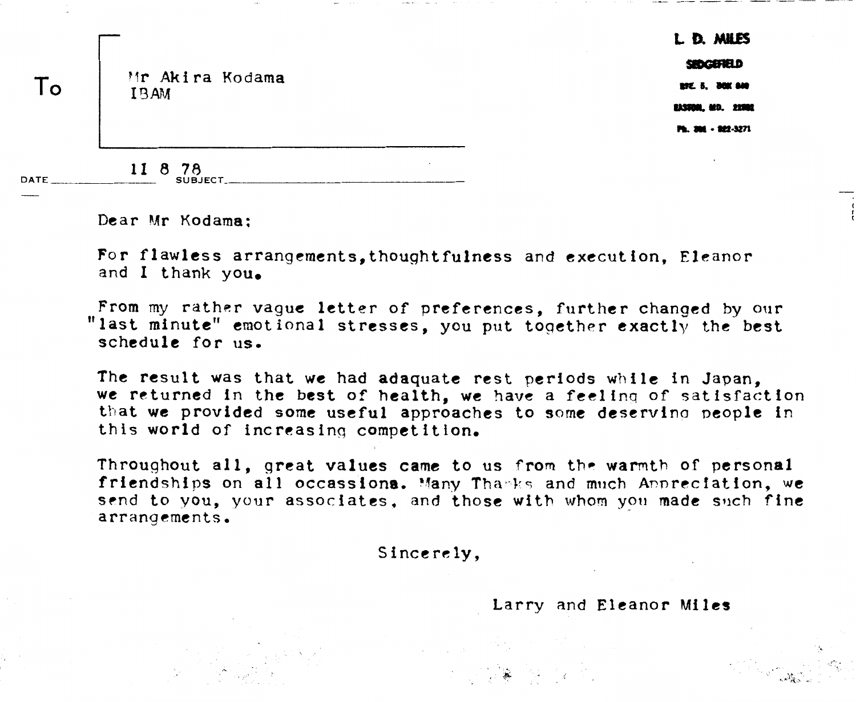L. D. MILES 500000010 **297 5. 200 800 EASENE, MD. 22002** Ph. 304 - 882-3271

**Vr** Aki **ra** Kcldarna **IE3AM** 

**II 8 78** SUBJECT.

**Dear Mr Kodama;** 

-

 $To$ 

For flawless arrangements.thoughtfulness and execution, Eleanor and **I** thank **you.** 

From my rather vague letter of preferences, further changed by our "last minute" emotional stresses, you put together exactly the best **schedule for us,** 

**The result was that we had adaquate rest periods while in Japan,**  we returned in the best of health, we have a feeling of satisfaction **that we provided some useful approaches to some deservino ~eople in**  this world of increasing competition.

**Throughout all, great values came to us from** the **wanth of personal friendships on all occassiona. Vany** Thw-Ir.; and **much Amrecfation, we**  send to you, your associates, and those with whom you made such fine **arrangements,** 

**Sincerely,** 

Larry and Eleanor Miles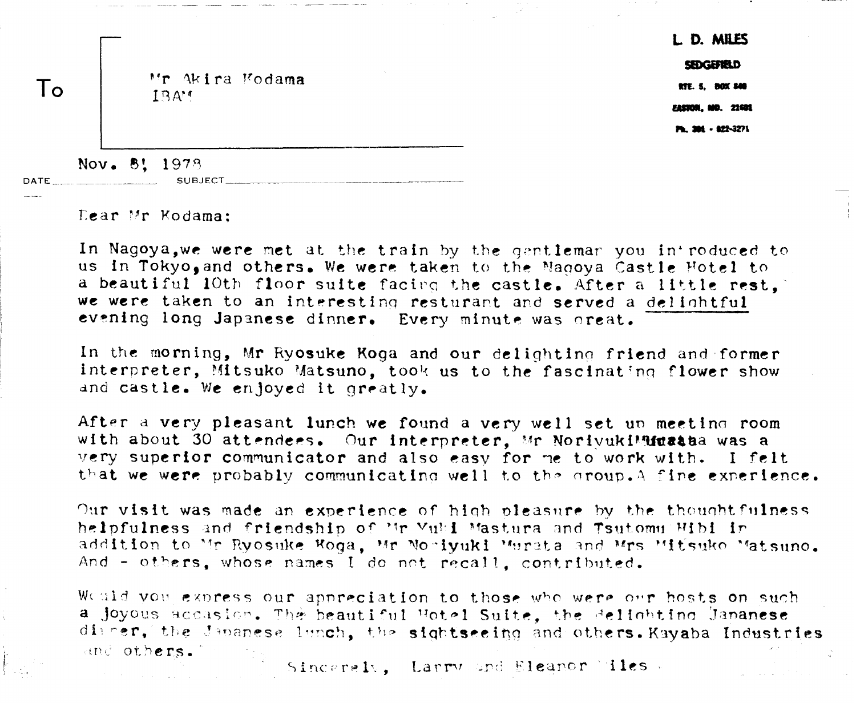L D. MILES

SEDGEFIELD

RTE. 5. BOX 840 **EASTOR, MD. 21601** 

**Ph. 304 - 822-3271** 

Mr Akira Modama  $1.9A$ <sup>t</sup>

Nov. 8! 1978 DATE

 $\text{Learn Mr Kodama:}$ 

To

In Nagoya, we were met at the train by the qentlemar you in' roduced to **us in Tokyo,and others. We were taken** to tho "a~oya **Castle Fbtcl to a beautiful 10th floor suite facing the castle. After a little rest. we were taken to an interesting resturant and served a delightful** evening long Japanese dinner. Every minute was oreat.

In the **morning, Mr Ryosuke Koga and our delightinn friend dnd former**  interpreter, Mitsuko Matsuno, took us to the fascinating flower show and castle. We enloved it greatly.

After a very pleasant lunch we found a very well set un meeting room with about 30 attendees. Our interpreter, Mr NorivukiMuata was a very superior communicator and also easy for me to work with. I felt that we were probably communicating well to the group. A fine experience.

Our visit was made an experience of high pleasure by the thoughtfulness helpfulness and friendship of Mr Vuld Mastura and Tsutomu Hibi in addition to Mr Ryosuke Woga. Mr Nonivuki Murata and Mrs Mitsuko Matsuno. And - others, whose names I do not recall, contributed.

Would you express our appreciation to those who were our hosts on such a joyous accasion. The beautiful Hotel Suite, the delighting Jananese digner, the Japanese lanch, the sightseeing and others. Kayaba Industries and others.

Sinceraly, Larry and Eleanor Miles.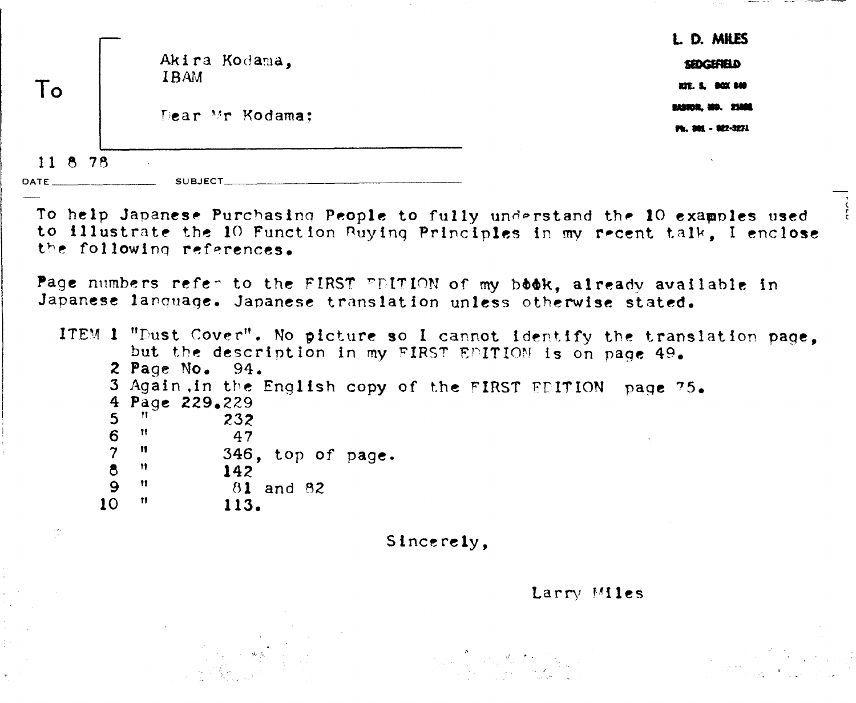|                       | Akira Kodama.<br><b>IBAM</b>                                                                                                                                                             | L D. MILES<br><b>SEDGEFIELD</b>                            |
|-----------------------|------------------------------------------------------------------------------------------------------------------------------------------------------------------------------------------|------------------------------------------------------------|
| To                    | Dear Mr Kodama:                                                                                                                                                                          | RTE. 5. DOX 840<br>EASTOR, MO. 2300E<br>Ph. 301 - 822-3271 |
| 11 8 78<br>DATE _____ | SUBJECT_                                                                                                                                                                                 |                                                            |
|                       | To help Japanese Purchasing People to fully understand the 10 examples used<br>to illustrate the 10 Function Buying Principles in my recent talk, I enclose<br>the following references. |                                                            |
|                       | Page numbers refer to the FIRST FEITION of my book, already available in<br>Japanese language. Japanese translation unless otherwise stated.                                             |                                                            |
|                       | ITEM 1 "Dust Cover". No picture so I cannot identify the translation page,<br>but the description in my FIRST EDITION is on page 49.<br>2 Page No. $94.$                                 |                                                            |
|                       | 3 Again in the English copy of the FIRST EDITION page 75.<br>4 Page 229.229<br>11.<br>5<br>232<br>- 11                                                                                   |                                                            |
|                       | 6<br>47<br>$\overline{7}$<br>$\mathbf{H}$<br>346, top of page.<br>$\bullet$<br>- 11 -<br>142<br>$\mathbf{9}$<br>$\mathbf{H}$<br>81 and 82                                                |                                                            |
| $\sim$ 2 $\times$     | 10 <sup>°</sup><br>Ħ<br>113.<br>Sincerely,                                                                                                                                               |                                                            |

 $\hat{\boldsymbol{p}}$ 

 $\sim 1000$  km s  $^{-1}$  ,  $\sim 100$ 

 $\mathbf{y}^{\prime}$ 

Larry **Vi les** 

and the second control of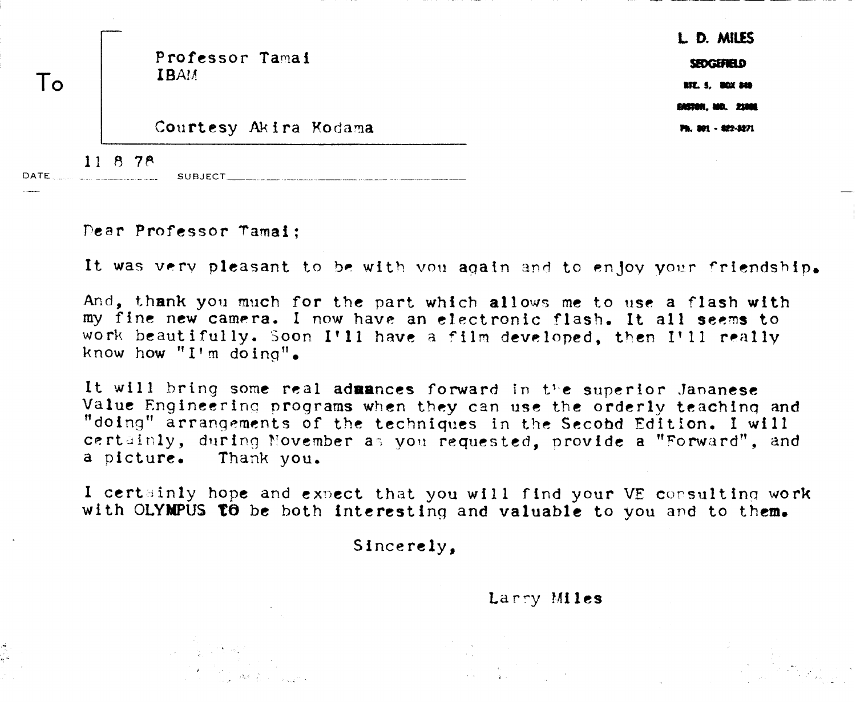|      |                                | L. D. MILES            |
|------|--------------------------------|------------------------|
|      | Professor Tamai<br><b>IBAM</b> | SEDGEFIELD             |
|      |                                | <b>RTE. 5. BOX 849</b> |
|      |                                | ERSTON, MO. 21000      |
|      | Courtesy Akira Kodama          | Ph. 801 - 822-3271     |
| DATE | 11878<br><b>SUBJECT</b>        |                        |

Pear **Professor Tami** ;

--

**It was very pleasant to be with you again and to enjoy your friendship.** 

**And,** t.hank **yo11** much **for the part which allow? me t.o use a flash with my fine new camera. I now have an electronic** flash. **It all seem to**  work beautifully. Soon I'11 have a film developed, then I'11 really know how "I'm doing".

It will bring some real admances forward in the superior Jananese **Value Engineerinc** proqrarns **when** they **can use** the **orderly teachinq and "doing" arrangements** of the **techniques** in the **Secobd Edition. I will certainly, during November as you requested, provide a "Forward", and a picture.** Thank **you.** 

I certainly hope and expect that you will find your VE consulting work **with OLYWUS t0 be** both **interesting and valuable to you and to them.** 

**Sincerely,** 

Larry Miles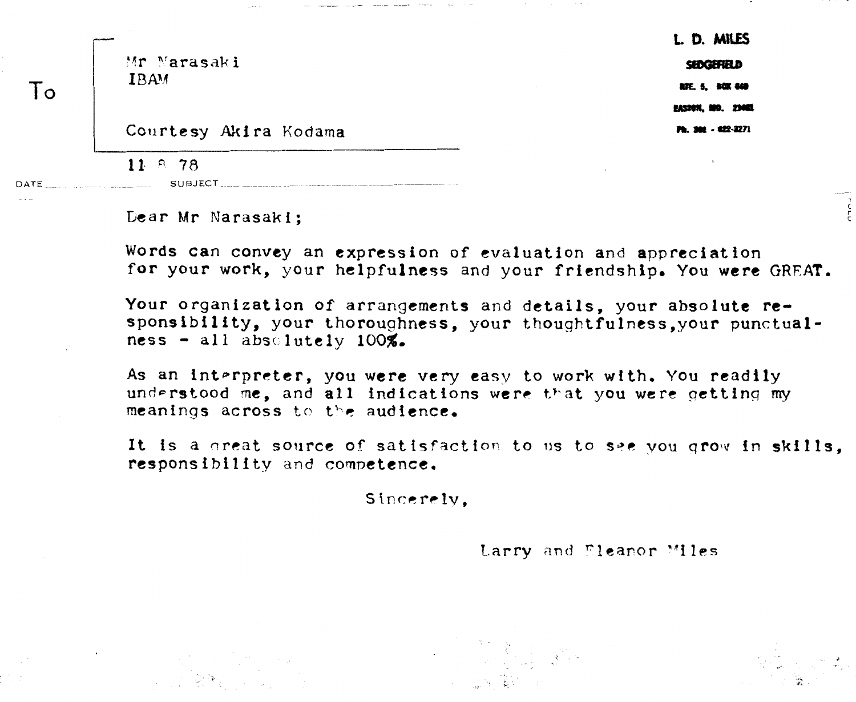Mr Narasaki **IBAM** 

 $To$ 

DATE

**L. D. MILES** SEDGEFIELD RTE. 5. BOX 840 **FASTON, MO. 73002** Ph. 900 - 922-3271

החרה

Courtesy Akira Kodama

 $11.8.78$ 

Dear Mr Narasaki:

**SUBJECT** 

Words can convey an expression of evaluation and appreciation for your work, your helpfulness and your friendship. You were GREAT.

Your organization of arrangements and details, your absolute responsibility, your thoroughness, your thoughtfulness, your punctual $ness - all absolutelv 100\%$ .

As an interpreter, you were very easy to work with. You readily understood me, and all indications were that you were getting my meanings across to the audience.

It is a great source of satisfaction to us to see you grow in skills. responsibility and competence.

Sincerely.

Larry and Eleanor Miles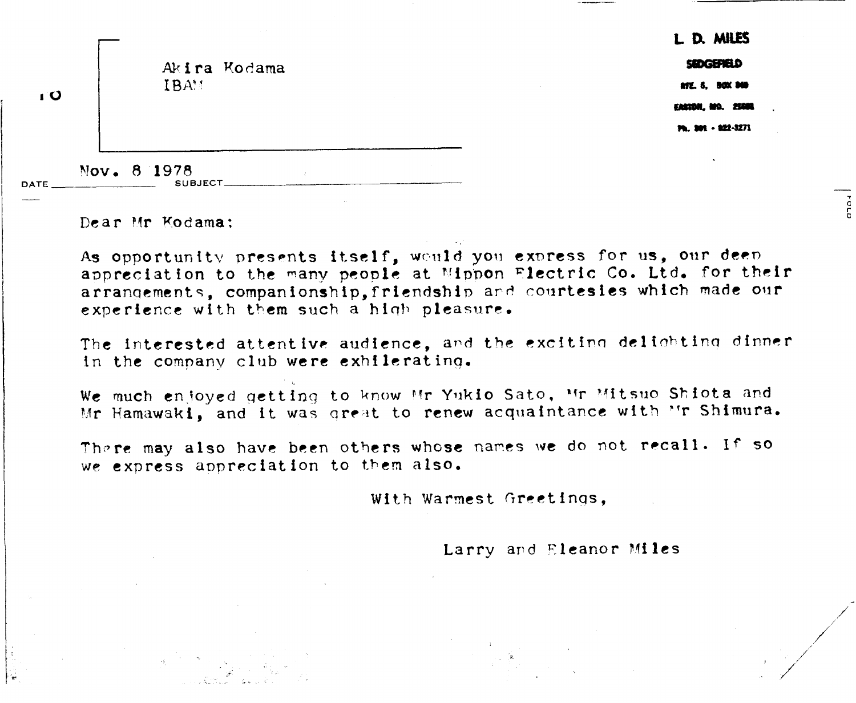| тO          | IBAM                          | Akira Kodama |
|-------------|-------------------------------|--------------|
| <b>DATE</b> | Nov. 8 1978<br><b>SUBJECT</b> |              |

Dear Mr Kodama:

DATE

As opportunity presents itself, would you express for us, our deep appreciation to the many people at Mippon **Flectric Co. Ltd. for their** arranclemcnts, **companion~hip,fricndshin** ard **co~~rtesies which made ow**  experience with them such a high pleasure.

The **interested attent ivr audience, and** the **sxclt** i~n *dal* inht ina dinner in the company club were exhilerating.

We much enjoyed getting to know Mr Yukio Sato. Mr Mitsuo Shiota and Mr Hamawaki, and it was great to renew acquaintance with ''r Shimura.

Thptc! **may also** have **been others whose nares we do** not rwall. If **so**  we express appreciation to them also.

With Warmest Greetings,

Larry and **Eleanor** Miles

1. D. MILES SEDGENELD **RTE. 6, BOX 840** 

------------

cro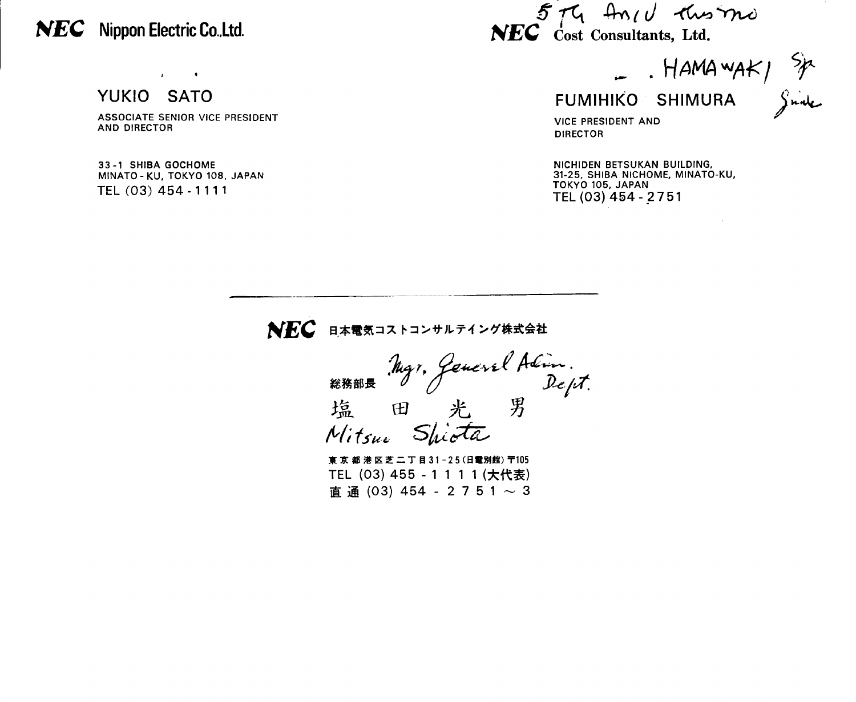## **NEC** Nippon Electric Co.,Ltd.

YUKIO SATO

**ASSOCIATE SENIOR VlCE PRESIDENT AND DIRECTOR** 

 $\mathcal{A}^{\text{max}}$  and  $\mathcal{A}^{\text{max}}$ 

**33 -1 SHlBA GOCHOME MINATO** - **KU, TOKYO 108. JAPAN TEL (03)** 454 - **1** 1 **1 1** 

 $5-t4$   $Am/d$   $two$   $mo$  $NEC$  *cost Consultants, Ltd.* 

 $HAMAWAK/$   $\frac{5}{7}$ <br>FUMIHIKO SHIMURA  $\int_{x}^{x}$ 

**VlCE PRESIDENT AND DIRECTOR** 

**NlCHlDEN BETSUKAN BUILDING, 31-25, SHlBA NICHOME, MINATO-KU, TOKYO 105, JAPAN TEL(03)454-2751** 

## NEC 日本電気コストコンサルテイング株式会社

Myr, General Adim.<br>El Rept. 総務部長 塩 Mitsus Shista

東京都港区芝二丁目31-25(日電別館) 〒105 TEL (03) 455 - 1 1 1 1 (大代表)  $\overline{a}$   $\overline{a}$  (03) 454 - 2 7 5 1  $\sim$  3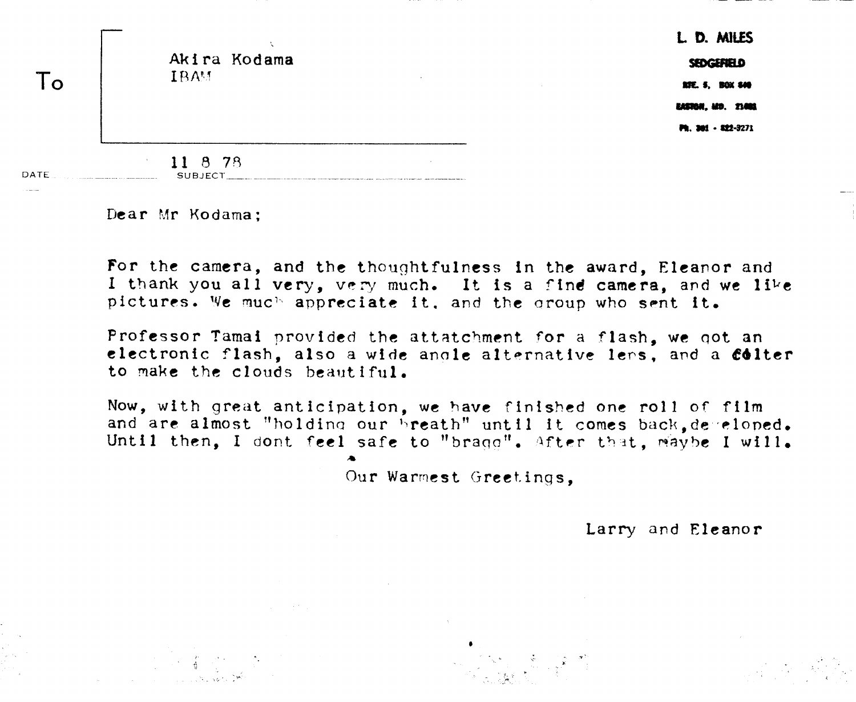|             |                | L. D. MILES                                                           |
|-------------|----------------|-----------------------------------------------------------------------|
|             | Akira Kodama   | SEDGEFIELD                                                            |
|             | <b>IBAM</b>    | $\sim$<br><b>RFC. 5, BOX 840</b>                                      |
|             |                | EASTON, MD. 21001                                                     |
|             |                | Ph. 301 - 822-3271                                                    |
|             | 8 78<br>11     |                                                                       |
| <b>DATE</b> | <b>SUBJECT</b> | where a contract with a company with them are presented with the with |

**Dear Mr Kodama;** 

**For the camera, and the thoughtfulness in the award, Eleanor and I** thank you all very, very much. It is a find camera, and we like  $p$  ictures. We much appreciate it, and the group who sent it.

**Professor Tamai provided** the **attatchmcnt for** a flash, **we** qot **an**  electronic flash, also a wide anole alternative lers, and a **colter to nake the** clouds bealrt iful.

**Now, with** great **anticipation, we have finished one roll** of **film**  and are almost "holding our breath" until it comes back, de reloned. Until then, I dont feel safe to "bragg", After that, waybe I will.

Our Warmest Greetings.

Larry and **Eleanor**